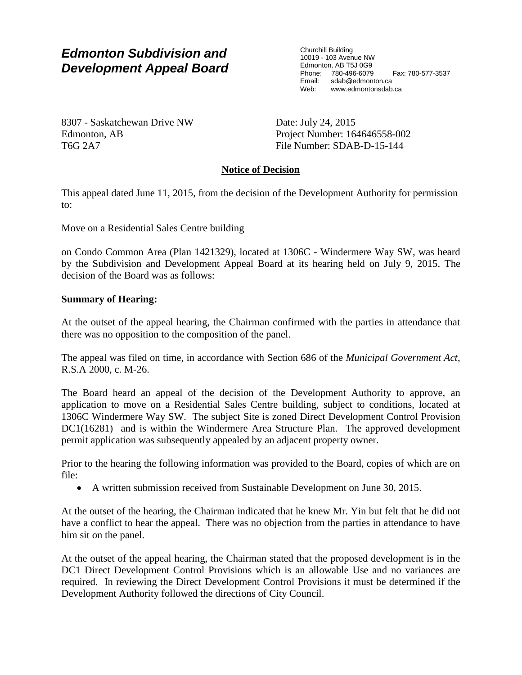## *Edmonton Subdivision and Development Appeal Board*

Churchill Building 10019 - 103 Avenue NW Edmonton, AB T5J 0G9 Phone: 780-496-6079 Fax: 780-577-3537<br>Email: sdab@edmonton.ca sdab@edmonton.ca Web: www.edmontonsdab.ca

8307 - Saskatchewan Drive NW Edmonton, AB T6G 2A7

Date: July 24, 2015 Project Number: 164646558-002 File Number: SDAB-D-15-144

### **Notice of Decision**

This appeal dated June 11, 2015, from the decision of the Development Authority for permission to:

Move on a Residential Sales Centre building

on Condo Common Area (Plan 1421329), located at 1306C - Windermere Way SW, was heard by the Subdivision and Development Appeal Board at its hearing held on July 9, 2015. The decision of the Board was as follows:

### **Summary of Hearing:**

At the outset of the appeal hearing, the Chairman confirmed with the parties in attendance that there was no opposition to the composition of the panel.

The appeal was filed on time, in accordance with Section 686 of the *Municipal Government Act*, R.S.A 2000, c. M-26.

The Board heard an appeal of the decision of the Development Authority to approve, an application to move on a Residential Sales Centre building, subject to conditions, located at 1306C Windermere Way SW. The subject Site is zoned Direct Development Control Provision DC1(16281) and is within the Windermere Area Structure Plan. The approved development permit application was subsequently appealed by an adjacent property owner.

Prior to the hearing the following information was provided to the Board, copies of which are on file:

A written submission received from Sustainable Development on June 30, 2015.

At the outset of the hearing, the Chairman indicated that he knew Mr. Yin but felt that he did not have a conflict to hear the appeal. There was no objection from the parties in attendance to have him sit on the panel.

At the outset of the appeal hearing, the Chairman stated that the proposed development is in the DC1 Direct Development Control Provisions which is an allowable Use and no variances are required. In reviewing the Direct Development Control Provisions it must be determined if the Development Authority followed the directions of City Council.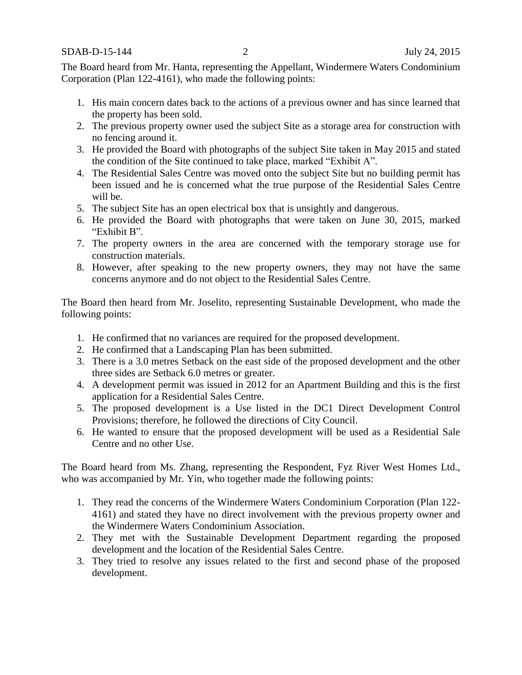The Board heard from Mr. Hanta, representing the Appellant, Windermere Waters Condominium Corporation (Plan 122-4161), who made the following points:

- 1. His main concern dates back to the actions of a previous owner and has since learned that the property has been sold.
- 2. The previous property owner used the subject Site as a storage area for construction with no fencing around it.
- 3. He provided the Board with photographs of the subject Site taken in May 2015 and stated the condition of the Site continued to take place, marked "Exhibit A".
- 4. The Residential Sales Centre was moved onto the subject Site but no building permit has been issued and he is concerned what the true purpose of the Residential Sales Centre will be.
- 5. The subject Site has an open electrical box that is unsightly and dangerous.
- 6. He provided the Board with photographs that were taken on June 30, 2015, marked "Exhibit B".
- 7. The property owners in the area are concerned with the temporary storage use for construction materials.
- 8. However, after speaking to the new property owners, they may not have the same concerns anymore and do not object to the Residential Sales Centre.

The Board then heard from Mr. Joselito, representing Sustainable Development, who made the following points:

- 1. He confirmed that no variances are required for the proposed development.
- 2. He confirmed that a Landscaping Plan has been submitted.
- 3. There is a 3.0 metres Setback on the east side of the proposed development and the other three sides are Setback 6.0 metres or greater.
- 4. A development permit was issued in 2012 for an Apartment Building and this is the first application for a Residential Sales Centre.
- 5. The proposed development is a Use listed in the DC1 Direct Development Control Provisions; therefore, he followed the directions of City Council.
- 6. He wanted to ensure that the proposed development will be used as a Residential Sale Centre and no other Use.

The Board heard from Ms. Zhang, representing the Respondent, Fyz River West Homes Ltd., who was accompanied by Mr. Yin, who together made the following points:

- 1. They read the concerns of the Windermere Waters Condominium Corporation (Plan 122- 4161) and stated they have no direct involvement with the previous property owner and the Windermere Waters Condominium Association.
- 2. They met with the Sustainable Development Department regarding the proposed development and the location of the Residential Sales Centre.
- 3. They tried to resolve any issues related to the first and second phase of the proposed development.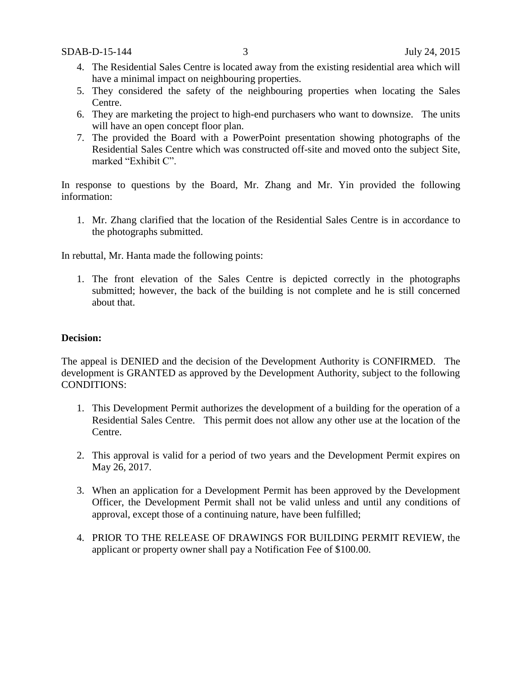- 4. The Residential Sales Centre is located away from the existing residential area which will have a minimal impact on neighbouring properties.
- 5. They considered the safety of the neighbouring properties when locating the Sales Centre.
- 6. They are marketing the project to high-end purchasers who want to downsize. The units will have an open concept floor plan.
- 7. The provided the Board with a PowerPoint presentation showing photographs of the Residential Sales Centre which was constructed off-site and moved onto the subject Site, marked "Exhibit C".

In response to questions by the Board, Mr. Zhang and Mr. Yin provided the following information:

1. Mr. Zhang clarified that the location of the Residential Sales Centre is in accordance to the photographs submitted.

In rebuttal, Mr. Hanta made the following points:

1. The front elevation of the Sales Centre is depicted correctly in the photographs submitted; however, the back of the building is not complete and he is still concerned about that.

#### **Decision:**

The appeal is DENIED and the decision of the Development Authority is CONFIRMED. The development is GRANTED as approved by the Development Authority, subject to the following CONDITIONS:

- 1. This Development Permit authorizes the development of a building for the operation of a Residential Sales Centre. This permit does not allow any other use at the location of the Centre.
- 2. This approval is valid for a period of two years and the Development Permit expires on May 26, 2017.
- 3. When an application for a Development Permit has been approved by the Development Officer, the Development Permit shall not be valid unless and until any conditions of approval, except those of a continuing nature, have been fulfilled;
- 4. PRIOR TO THE RELEASE OF DRAWINGS FOR BUILDING PERMIT REVIEW, the applicant or property owner shall pay a Notification Fee of \$100.00.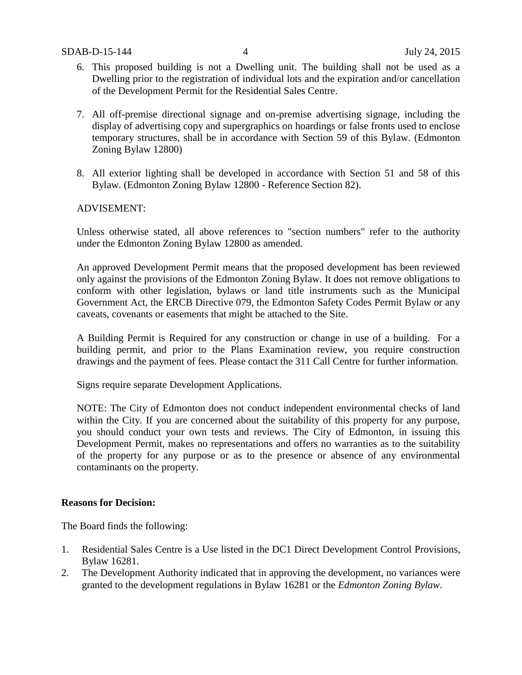- 6. This proposed building is not a Dwelling unit. The building shall not be used as a Dwelling prior to the registration of individual lots and the expiration and/or cancellation of the Development Permit for the Residential Sales Centre.
- 7. All off-premise directional signage and on-premise advertising signage, including the display of advertising copy and supergraphics on hoardings or false fronts used to enclose temporary structures, shall be in accordance with Section 59 of this Bylaw. (Edmonton Zoning Bylaw 12800)
- 8. All exterior lighting shall be developed in accordance with Section 51 and 58 of this Bylaw. (Edmonton Zoning Bylaw 12800 - Reference Section 82).

### ADVISEMENT:

Unless otherwise stated, all above references to "section numbers" refer to the authority under the Edmonton Zoning Bylaw 12800 as amended.

An approved Development Permit means that the proposed development has been reviewed only against the provisions of the Edmonton Zoning Bylaw. It does not remove obligations to conform with other legislation, bylaws or land title instruments such as the Municipal Government Act, the ERCB Directive 079, the Edmonton Safety Codes Permit Bylaw or any caveats, covenants or easements that might be attached to the Site.

A Building Permit is Required for any construction or change in use of a building. For a building permit, and prior to the Plans Examination review, you require construction drawings and the payment of fees. Please contact the 311 Call Centre for further information.

Signs require separate Development Applications.

NOTE: The City of Edmonton does not conduct independent environmental checks of land within the City. If you are concerned about the suitability of this property for any purpose, you should conduct your own tests and reviews. The City of Edmonton, in issuing this Development Permit, makes no representations and offers no warranties as to the suitability of the property for any purpose or as to the presence or absence of any environmental contaminants on the property.

#### **Reasons for Decision:**

The Board finds the following:

- 1. Residential Sales Centre is a Use listed in the DC1 Direct Development Control Provisions, Bylaw 16281.
- 2. The Development Authority indicated that in approving the development, no variances were granted to the development regulations in Bylaw 16281 or the *Edmonton Zoning Bylaw*.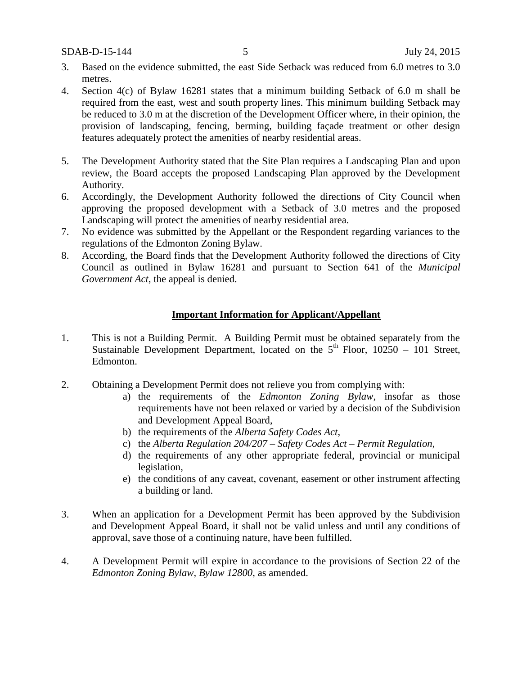- 3. Based on the evidence submitted, the east Side Setback was reduced from 6.0 metres to 3.0 metres.
- 4. Section 4(c) of Bylaw 16281 states that a minimum building Setback of 6.0 m shall be required from the east, west and south property lines. This minimum building Setback may be reduced to 3.0 m at the discretion of the Development Officer where, in their opinion, the provision of landscaping, fencing, berming, building façade treatment or other design features adequately protect the amenities of nearby residential areas.
- 5. The Development Authority stated that the Site Plan requires a Landscaping Plan and upon review, the Board accepts the proposed Landscaping Plan approved by the Development Authority.
- 6. Accordingly, the Development Authority followed the directions of City Council when approving the proposed development with a Setback of 3.0 metres and the proposed Landscaping will protect the amenities of nearby residential area.
- 7. No evidence was submitted by the Appellant or the Respondent regarding variances to the regulations of the Edmonton Zoning Bylaw.
- 8. According, the Board finds that the Development Authority followed the directions of City Council as outlined in Bylaw 16281 and pursuant to Section 641 of the *Municipal Government Act*, the appeal is denied.

#### **Important Information for Applicant/Appellant**

- 1. This is not a Building Permit. A Building Permit must be obtained separately from the Sustainable Development Department, located on the  $5<sup>th</sup>$  Floor, 10250 – 101 Street, Edmonton.
- 2. Obtaining a Development Permit does not relieve you from complying with:
	- a) the requirements of the *Edmonton Zoning Bylaw*, insofar as those requirements have not been relaxed or varied by a decision of the Subdivision and Development Appeal Board,
	- b) the requirements of the *Alberta Safety Codes Act*,
	- c) the *Alberta Regulation 204/207 – Safety Codes Act – Permit Regulation*,
	- d) the requirements of any other appropriate federal, provincial or municipal legislation,
	- e) the conditions of any caveat, covenant, easement or other instrument affecting a building or land.
- 3. When an application for a Development Permit has been approved by the Subdivision and Development Appeal Board, it shall not be valid unless and until any conditions of approval, save those of a continuing nature, have been fulfilled.
- 4. A Development Permit will expire in accordance to the provisions of Section 22 of the *Edmonton Zoning Bylaw, Bylaw 12800*, as amended.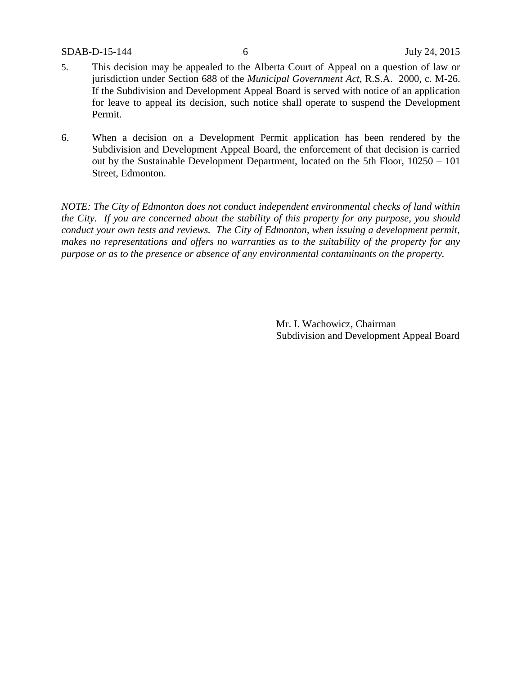- 5. This decision may be appealed to the Alberta Court of Appeal on a question of law or jurisdiction under Section 688 of the *Municipal Government Act*, R.S.A. 2000, c. M-26. If the Subdivision and Development Appeal Board is served with notice of an application for leave to appeal its decision, such notice shall operate to suspend the Development Permit.
- 6. When a decision on a Development Permit application has been rendered by the Subdivision and Development Appeal Board, the enforcement of that decision is carried out by the Sustainable Development Department, located on the 5th Floor, 10250 – 101 Street, Edmonton.

*NOTE: The City of Edmonton does not conduct independent environmental checks of land within the City. If you are concerned about the stability of this property for any purpose, you should conduct your own tests and reviews. The City of Edmonton, when issuing a development permit, makes no representations and offers no warranties as to the suitability of the property for any purpose or as to the presence or absence of any environmental contaminants on the property.*

> Mr. I. Wachowicz, Chairman Subdivision and Development Appeal Board